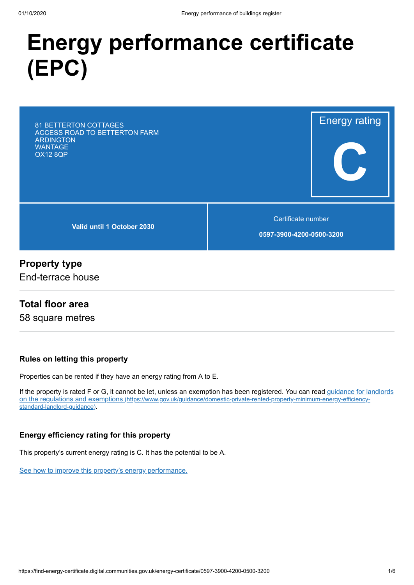# **Energy performance certificate (EPC)**

81 BETTERTON COTTAGES ACCESS ROAD TO BETTERTON FARM ARDINGTON **WANTAGE** OX12 8QP

**Valid until 1 October 2030**

Certificate number

Energy rating

**C**

**0597-3900-4200-0500-3200**

#### **Property type**

End-terrace house

#### **Total floor area**

58 square metres

#### **Rules on letting this property**

Properties can be rented if they have an energy rating from A to E.

[If the property is rated F or G, it cannot be let, unless an exemption has been registered. You can read guidance for landlords](https://www.gov.uk/guidance/domestic-private-rented-property-minimum-energy-efficiency-standard-landlord-guidance) on the regulations and exemptions (https://www.gov.uk/guidance/domestic-private-rented-property-minimum-energy-efficiencystandard-landlord-guidance).

#### **Energy efficiency rating for this property**

This property's current energy rating is C. It has the potential to be A.

[See how to improve this property's energy performance.](#page-3-0)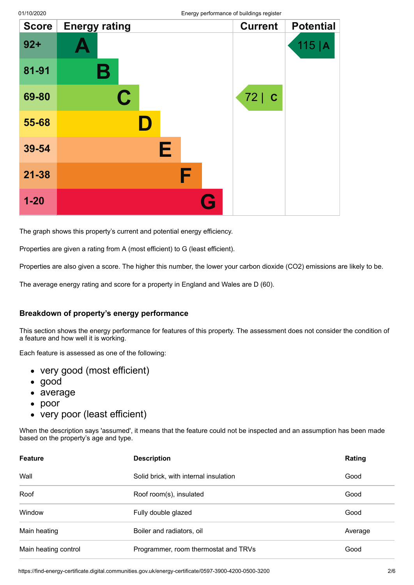| <b>Score</b> | <b>Energy rating</b>    | יו נכייי | <b>Current</b> | <b>Potential</b> |
|--------------|-------------------------|----------|----------------|------------------|
| $92 +$       |                         |          |                | 115  A           |
| 81-91        | $\mathbf B$             |          |                |                  |
| 69-80        | $\overline{\mathbf{C}}$ |          | 72 C           |                  |
| 55-68        |                         |          |                |                  |
| 39-54        | Е                       |          |                |                  |
| $21 - 38$    |                         | F        |                |                  |
| $1 - 20$     |                         | G        |                |                  |

The graph shows this property's current and potential energy efficiency.

Properties are given a rating from A (most efficient) to G (least efficient).

Properties are also given a score. The higher this number, the lower your carbon dioxide (CO2) emissions are likely to be.

The average energy rating and score for a property in England and Wales are D (60).

#### **Breakdown of property's energy performance**

This section shows the energy performance for features of this property. The assessment does not consider the condition of a feature and how well it is working.

Each feature is assessed as one of the following:

- very good (most efficient)
- good
- average
- poor
- very poor (least efficient)

When the description says 'assumed', it means that the feature could not be inspected and an assumption has been made based on the property's age and type.

| <b>Feature</b>       | <b>Description</b>                    | Rating  |
|----------------------|---------------------------------------|---------|
| Wall                 | Solid brick, with internal insulation | Good    |
| Roof                 | Roof room(s), insulated               | Good    |
| Window               | Fully double glazed                   | Good    |
| Main heating         | Boiler and radiators, oil             | Average |
| Main heating control | Programmer, room thermostat and TRVs  | Good    |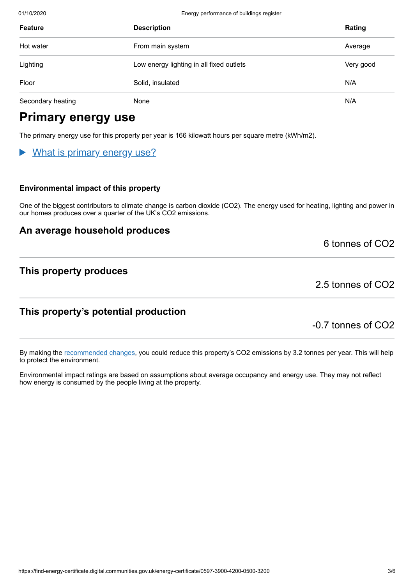01/10/2020 Energy performance of buildings register

| <b>Feature</b>    | <b>Description</b>                       | Rating    |
|-------------------|------------------------------------------|-----------|
| Hot water         | From main system                         | Average   |
| Lighting          | Low energy lighting in all fixed outlets | Very good |
| Floor             | Solid, insulated                         | N/A       |
| Secondary heating | None                                     | N/A       |

# **Primary energy use**

The primary energy use for this property per year is 166 kilowatt hours per square metre (kWh/m2).

## What is primary energy use?

#### **Environmental impact of this property**

One of the biggest contributors to climate change is carbon dioxide (CO2). The energy used for heating, lighting and power in our homes produces over a quarter of the UK's CO2 emissions.

#### **An average household produces**

6 tonnes of CO2

#### **This property produces**

2.5 tonnes of CO2

### **This property's potential production**

-0.7 tonnes of CO2

By making the [recommended changes](#page-3-0), you could reduce this property's CO2 emissions by 3.2 tonnes per year. This will help to protect the environment.

Environmental impact ratings are based on assumptions about average occupancy and energy use. They may not reflect how energy is consumed by the people living at the property.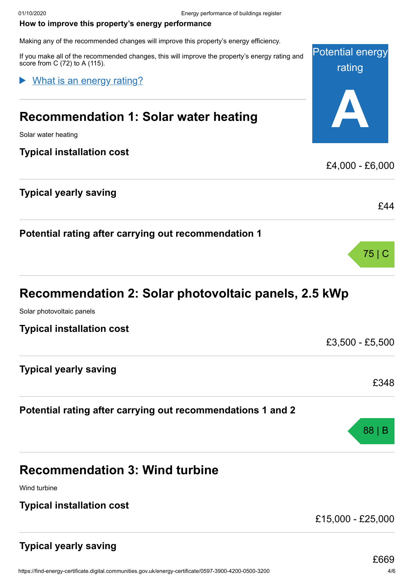#### <span id="page-3-0"></span>**How to improve this property's energy performance**

Making any of the recommended changes will improve this property's energy efficiency.

If you make all of the recommended changes, this will improve the property's energy rating and score from C (72) to A (115).

#### What is an energy rating?

## **Recommendation 1: Solar water heating**

Solar water heating

#### **Typical installation cost**

## **Typical yearly saving**

|  | Potential rating after carrying out recommendation 1 |  |
|--|------------------------------------------------------|--|
|  |                                                      |  |

# **Recommendation 2: Solar photovoltaic panels, 2.5 kWp**

Solar photovoltaic panels

#### **Typical installation cost**

|  | <b>Typical yearly saving</b> |
|--|------------------------------|
|  |                              |

## **Potential rating after carrying out recommendations 1 and 2**

# **Recommendation 3: Wind turbine**

Wind turbine

#### **Typical installation cost**

£15,000 - £25,000

## **Typical yearly saving**

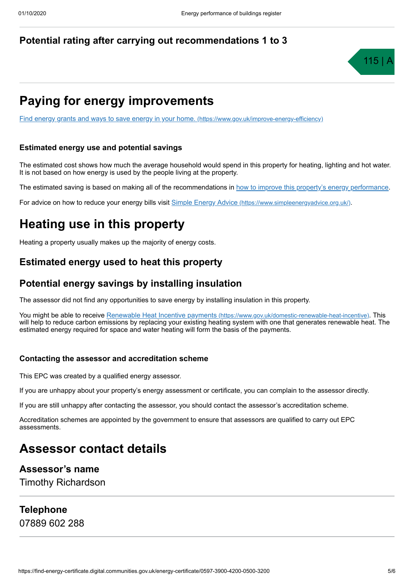#### **Potential rating after carrying out recommendations 1 to 3**



# **Paying for energy improvements**

[Find energy grants and ways to save energy in your home.](https://www.gov.uk/improve-energy-efficiency) (https://www.gov.uk/improve-energy-efficiency)

#### **Estimated energy use and potential savings**

The estimated cost shows how much the average household would spend in this property for heating, lighting and hot water. It is not based on how energy is used by the people living at the property.

The estimated saving is based on making all of the recommendations in [how to improve this property's energy performance.](#page-3-0)

For advice on how to reduce your energy bills visit Simple Energy Advice [\(https://www.simpleenergyadvice.org.uk/\)](https://www.simpleenergyadvice.org.uk/).

# **Heating use in this property**

Heating a property usually makes up the majority of energy costs.

### **Estimated energy used to heat this property**

## **Potential energy savings by installing insulation**

The assessor did not find any opportunities to save energy by installing insulation in this property.

You might be able to receive Renewable Heat Incentive payments [\(https://www.gov.uk/domestic-renewable-heat-incentive\)](https://www.gov.uk/domestic-renewable-heat-incentive). This will help to reduce carbon emissions by replacing your existing heating system with one that generates renewable heat. The estimated energy required for space and water heating will form the basis of the payments.

#### **Contacting the assessor and accreditation scheme**

This EPC was created by a qualified energy assessor.

If you are unhappy about your property's energy assessment or certificate, you can complain to the assessor directly.

If you are still unhappy after contacting the assessor, you should contact the assessor's accreditation scheme.

Accreditation schemes are appointed by the government to ensure that assessors are qualified to carry out EPC assessments.

## **Assessor contact details**

#### **Assessor's name**

Timothy Richardson

### **Telephone**

07889 602 288